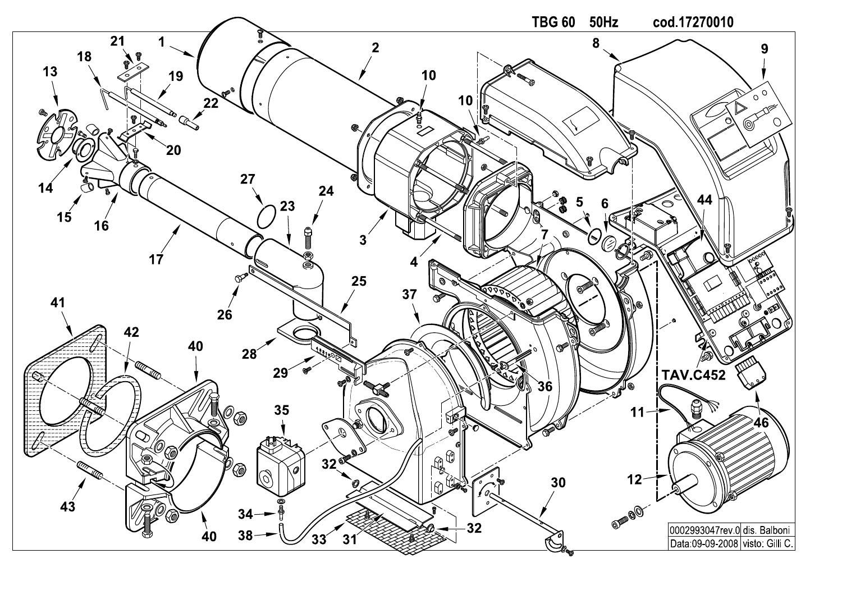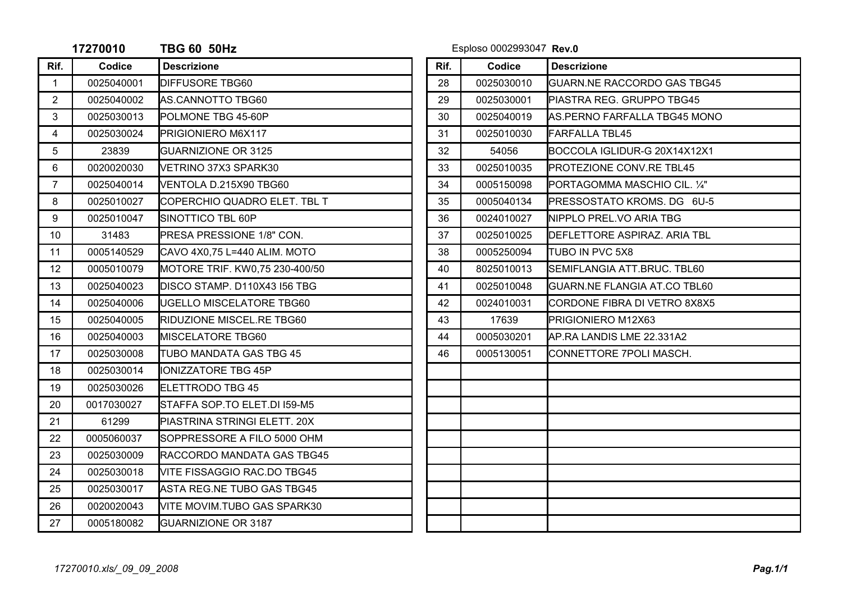|                | 17270010   | <b>TBG 60 50Hz</b>             |  |      | Esploso 0002993047 Rev.0 |                                     |  |
|----------------|------------|--------------------------------|--|------|--------------------------|-------------------------------------|--|
| Rif.           | Codice     | <b>Descrizione</b>             |  | Rif. | Codice                   | <b>Descrizione</b>                  |  |
| $\mathbf{1}$   | 0025040001 | <b>DIFFUSORE TBG60</b>         |  | 28   | 0025030010               | <b>GUARN.NE RACCORDO GAS TBG45</b>  |  |
| $\overline{2}$ | 0025040002 | AS.CANNOTTO TBG60              |  | 29   | 0025030001               | PIASTRA REG. GRUPPO TBG45           |  |
| 3              | 0025030013 | <b>POLMONE TBG 45-60P</b>      |  | 30   | 0025040019               | <b>AS.PERNO FARFALLA TBG45 MONO</b> |  |
| $\overline{4}$ | 0025030024 | PRIGIONIERO M6X117             |  | 31   | 0025010030               | <b>FARFALLA TBL45</b>               |  |
| 5              | 23839      | <b>GUARNIZIONE OR 3125</b>     |  | 32   | 54056                    | BOCCOLA IGLIDUR-G 20X14X12X1        |  |
| 6              | 0020020030 | VETRINO 37X3 SPARK30           |  | 33   | 0025010035               | <b>PROTEZIONE CONV.RE TBL45</b>     |  |
| $\overline{7}$ | 0025040014 | VENTOLA D.215X90 TBG60         |  | 34   | 0005150098               | PORTAGOMMA MASCHIO CIL. 1/4"        |  |
| 8              | 0025010027 | COPERCHIO QUADRO ELET. TBL T   |  | 35   | 0005040134               | PRESSOSTATO KROMS. DG 6U-5          |  |
| 9              | 0025010047 | SINOTTICO TBL 60P              |  | 36   | 0024010027               | NIPPLO PREL.VO ARIA TBG             |  |
| 10             | 31483      | PRESA PRESSIONE 1/8" CON.      |  | 37   | 0025010025               | DEFLETTORE ASPIRAZ. ARIA TBL        |  |
| 11             | 0005140529 | CAVO 4X0.75 L=440 ALIM. MOTO   |  | 38   | 0005250094               | <b>TUBO IN PVC 5X8</b>              |  |
| 12             | 0005010079 | MOTORE TRIF. KW0,75 230-400/50 |  | 40   | 8025010013               | SEMIFLANGIA ATT.BRUC. TBL60         |  |
| 13             | 0025040023 | DISCO STAMP. D110X43 I56 TBG   |  | 41   | 0025010048               | GUARN.NE FLANGIA AT.CO TBL60        |  |
| 14             | 0025040006 | UGELLO MISCELATORE TBG60       |  | 42   | 0024010031               | CORDONE FIBRA DI VETRO 8X8X5        |  |
| 15             | 0025040005 | RIDUZIONE MISCEL.RE TBG60      |  | 43   | 17639                    | PRIGIONIERO M12X63                  |  |
| 16             | 0025040003 | MISCELATORE TBG60              |  | 44   | 0005030201               | AP.RA LANDIS LME 22.331A2           |  |
| 17             | 0025030008 | TUBO MANDATA GAS TBG 45        |  | 46   | 0005130051               | CONNETTORE 7POLI MASCH.             |  |
| 18             | 0025030014 | <b>IONIZZATORE TBG 45P</b>     |  |      |                          |                                     |  |
| 19             | 0025030026 | ELETTRODO TBG 45               |  |      |                          |                                     |  |
| 20             | 0017030027 | STAFFA SOP.TO ELET.DI 159-M5   |  |      |                          |                                     |  |
| 21             | 61299      | PIASTRINA STRINGI ELETT. 20X   |  |      |                          |                                     |  |
| 22             | 0005060037 | SOPPRESSORE A FILO 5000 OHM    |  |      |                          |                                     |  |
| 23             | 0025030009 | RACCORDO MANDATA GAS TBG45     |  |      |                          |                                     |  |
| 24             | 0025030018 | VITE FISSAGGIO RAC.DO TBG45    |  |      |                          |                                     |  |
| 25             | 0025030017 | ASTA REG.NE TUBO GAS TBG45     |  |      |                          |                                     |  |
| 26             | 0020020043 | VITE MOVIM.TUBO GAS SPARK30    |  |      |                          |                                     |  |
| 27             | 0005180082 | <b>GUARNIZIONE OR 3187</b>     |  |      |                          |                                     |  |
|                |            |                                |  |      |                          |                                     |  |

**TBG 60 50Hz** Esploso 0002993047 **Rev.0**

| Rif. | Codice     | <b>Descrizione</b>                 |
|------|------------|------------------------------------|
| 28   | 0025030010 | <b>GUARN.NE RACCORDO GAS TBG45</b> |
| 29   | 0025030001 | PIASTRA REG. GRUPPO TBG45          |
| 30   | 0025040019 | AS.PERNO FARFALLA TBG45 MONO       |
| 31   | 0025010030 | <b>FARFALLA TBL45</b>              |
| 32   | 54056      | BOCCOLA IGLIDUR-G 20X14X12X1       |
| 33   | 0025010035 | PROTEZIONE CONV.RE TBL45           |
| 34   | 0005150098 | PORTAGOMMA MASCHIO CIL. 1/4"       |
| 35   | 0005040134 | PRESSOSTATO KROMS. DG 6U-5         |
| 36   | 0024010027 | NIPPLO PREL.VO ARIA TBG            |
| 37   | 0025010025 | DEFLETTORE ASPIRAZ. ARIA TBL       |
| 38   | 0005250094 | TUBO IN PVC 5X8                    |
| 40   | 8025010013 | SEMIFLANGIA ATT.BRUC. TBL60        |
| 41   | 0025010048 | GUARN.NE FLANGIA AT.CO TBL60       |
| 42   | 0024010031 | CORDONE FIBRA DI VETRO 8X8X5       |
| 43   | 17639      | PRIGIONIERO M12X63                 |
| 44   | 0005030201 | AP.RA LANDIS LME 22.331A2          |
| 46   | 0005130051 | CONNETTORE 7POLI MASCH.            |
|      |            |                                    |
|      |            |                                    |
|      |            |                                    |
|      |            |                                    |
|      |            |                                    |
|      |            |                                    |
|      |            |                                    |
|      |            |                                    |
|      |            |                                    |
|      |            |                                    |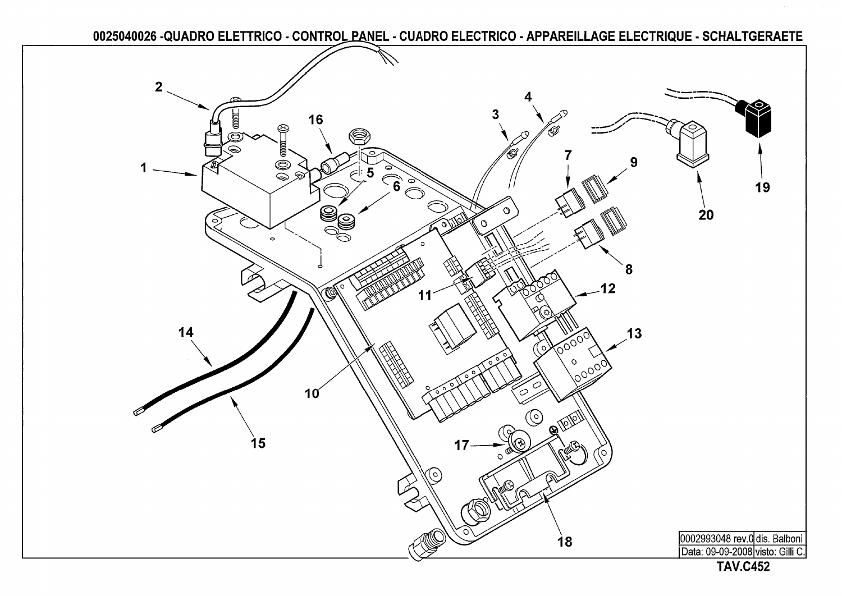